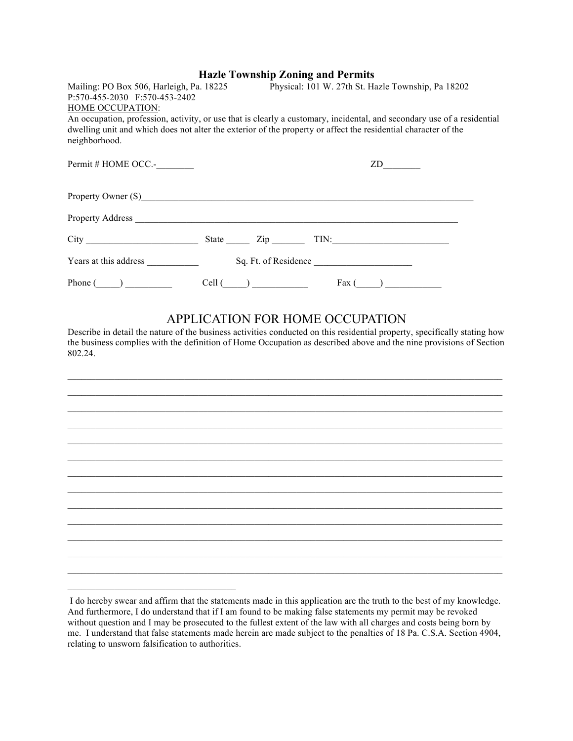|                                                                                                                                             | <b>Hazle Township Zoning and Permits</b> |                      |    |  |
|---------------------------------------------------------------------------------------------------------------------------------------------|------------------------------------------|----------------------|----|--|
| Mailing: PO Box 506, Harleigh, Pa. 18225 Physical: 101 W. 27th St. Hazle Township, Pa 18202                                                 |                                          |                      |    |  |
| P:570-455-2030 F:570-453-2402                                                                                                               |                                          |                      |    |  |
| HOME OCCUPATION:<br>An occupation, profession, activity, or use that is clearly a customary, incidental, and secondary use of a residential |                                          |                      |    |  |
| dwelling unit and which does not alter the exterior of the property or affect the residential character of the                              |                                          |                      |    |  |
| neighborhood.                                                                                                                               |                                          |                      |    |  |
|                                                                                                                                             |                                          |                      |    |  |
| Permit # HOME OCC.-                                                                                                                         |                                          |                      | ZD |  |
|                                                                                                                                             |                                          |                      |    |  |
| Property Owner (S)                                                                                                                          |                                          |                      |    |  |
|                                                                                                                                             |                                          |                      |    |  |
|                                                                                                                                             |                                          |                      |    |  |
|                                                                                                                                             |                                          |                      |    |  |
|                                                                                                                                             |                                          |                      |    |  |
| Years at this address                                                                                                                       |                                          | Sq. Ft. of Residence |    |  |
|                                                                                                                                             |                                          |                      |    |  |

## APPLICATION FOR HOME OCCUPATION

Phone  $(\_\_\_\_\_\_\_\_$  Cell  $(\_\_\_\_\_\_$  Cell  $(\_\_\_\_\_$  Fax  $(\_\_\_\_\_$ 

Describe in detail the nature of the business activities conducted on this residential property, specifically stating how the business complies with the definition of Home Occupation as described above and the nine provisions of Section 802.24.

I do hereby swear and affirm that the statements made in this application are the truth to the best of my knowledge. And furthermore, I do understand that if I am found to be making false statements my permit may be revoked without question and I may be prosecuted to the fullest extent of the law with all charges and costs being born by me. I understand that false statements made herein are made subject to the penalties of 18 Pa. C.S.A. Section 4904, relating to unsworn falsification to authorities.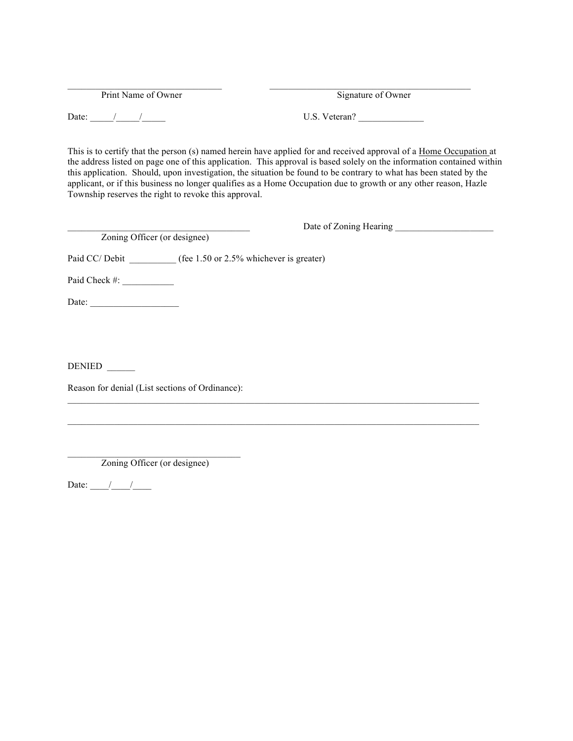Print Name of Owner Signature of Owner

Date:  $\frac{1}{\sqrt{2\pi}}$  /  $\frac{1}{\sqrt{2\pi}}$  U.S. Veteran?

This is to certify that the person (s) named herein have applied for and received approval of a Home Occupation at the address listed on page one of this application. This approval is based solely on the information contained within this application. Should, upon investigation, the situation be found to be contrary to what has been stated by the applicant, or if this business no longer qualifies as a Home Occupation due to growth or any other reason, Hazle Township reserves the right to revoke this approval.

|                              | Date of Zoning Hearing                                |
|------------------------------|-------------------------------------------------------|
| Zoning Officer (or designee) |                                                       |
|                              | Paid CC/Debit (fee 1.50 or 2.5% whichever is greater) |
| Paid Check #:                |                                                       |
| Date: $\qquad \qquad$        |                                                       |
|                              |                                                       |
|                              |                                                       |
| <b>DENIED</b>                |                                                       |

 $\mathcal{L}_\text{max}$ 

 $\_$  , and the state of the state of the state of the state of the state of the state of the state of the state of the state of the state of the state of the state of the state of the state of the state of the state of the

Reason for denial (List sections of Ordinance):

\_\_\_\_\_\_\_\_\_\_\_\_\_\_\_\_\_\_\_\_\_\_\_\_\_\_\_\_\_\_\_\_\_\_\_\_\_ Zoning Officer (or designee)

Date:  $\frac{\frac{1}{2}}{\frac{1}{2}}$